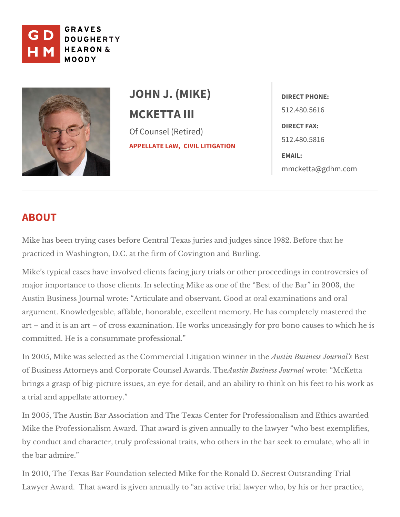

# JOHN J. (MIKE) MCKETTA III Of Counsel (Retired) [APPELLAT](https://www.gdhm.com/practice-areas/appellate-law/)ECLYMM, LITIGATION

DIRECT PHONE: 512.480.5616 DIRECT FAX: 512.480.5816 EMAIL: [mmcketta@gdh](mailto:mmcketta@gdhm.com)m.com

# ABOUT

Mike has been trying cases before Central Texas juries and judges since 198 practiced in Washington, D.C. at the firmanodf Bouarvington

Mike s typical cases have involved clients facing jury trials or other proceed major importance to those clients. In selecting Mike as one of the Best of th Austin Business Journal wrote: Articulate and observant. Good at oral examinations and oral oral and  $\alpha$ argument. Knowledgeable, affable, honorable, excellent memory. He has com and it is an art of cross examination. He works unceasingly for pro bo committed. He ciosn saummate professional.

In 2005, Mike was selected as the Commercial LitigAautisctin well as ienreisns tubesears hal s of Business Attorneys and Corporate Coun & ast Anw aBrudssin & she wool for al McKetta brings a grasp of big-picture issues, an eye for detail, and an ability to thinl a trial aanpolpellate attorney.

In 2005, The Austin Bar Association and The Texas Center for Professionalis Mike the Professionalism Award. That award is given annually to the lawyer by conduct and character, truly professional traits, who others in the bar see the bar admire.

In 2010, The Texas Bar Foundation selected Mike for the Ronald D. Secrest O Lawyer Award. That award is given annually to an active trial lawyer who, b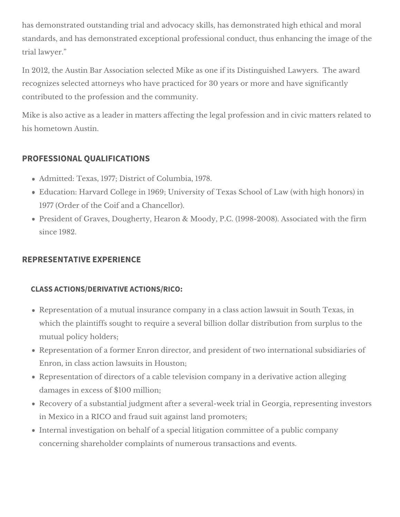has demonstrated outstanding trial and advocacy skills, has demonstrated high ethical and moral standards, and has demonstrated exceptional professional conduct, thus enhancing the image of the trial lawyer."

In 2012, the Austin Bar Association selected Mike as one if its Distinguished Lawyers. The award recognizes selected attorneys who have practiced for 30 years or more and have significantly contributed to the profession and the community.

Mike is also active as a leader in matters affecting the legal profession and in civic matters related to his hometown Austin.

# **PROFESSIONAL QUALIFICATIONS**

- Admitted: Texas, 1977; District of Columbia, 1978.
- Education: Harvard College in 1969; University of Texas School of Law (with high honors) in 1977 (Order of the Coif and a Chancellor).
- President of Graves, Dougherty, Hearon & Moody, P.C. (1998-2008). Associated with the firm since 1982.

# **REPRESENTATIVE EXPERIENCE**

#### **CLASS ACTIONS/DERIVATIVE ACTIONS/RICO:**

- Representation of a mutual insurance company in a class action lawsuit in South Texas, in which the plaintiffs sought to require a several billion dollar distribution from surplus to the mutual policy holders;
- Representation of a former Enron director, and president of two international subsidiaries of Enron, in class action lawsuits in Houston;
- Representation of directors of a cable television company in a derivative action alleging damages in excess of \$100 million;
- Recovery of a substantial judgment after a several-week trial in Georgia, representing investors in Mexico in a RICO and fraud suit against land promoters;
- Internal investigation on behalf of a special litigation committee of a public company concerning shareholder complaints of numerous transactions and events.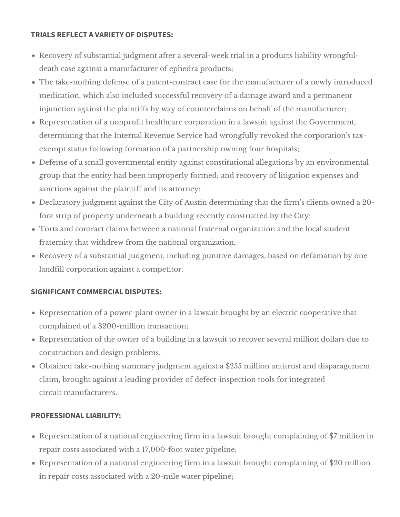#### **TRIALS REFLECT A VARIETY OF DISPUTES:**

- Recovery of substantial judgment after a several-week trial in a products liability wrongfuldeath case against a manufacturer of ephedra products;
- The take-nothing defense of a patent-contract case for the manufacturer of a newly introduced medication, which also included successful recovery of a damage award and a permanent injunction against the plaintiffs by way of counterclaims on behalf of the manufacturer;
- Representation of a nonprofit healthcare corporation in a lawsuit against the Government, determining that the Internal Revenue Service had wrongfully revoked the corporation's taxexempt status following formation of a partnership owning four hospitals;
- Defense of a small governmental entity against constitutional allegations by an environmental group that the entity had been improperly formed; and recovery of litigation expenses and sanctions against the plaintiff and its attorney;
- Declaratory judgment against the City of Austin determining that the firm's clients owned a 20 foot strip of property underneath a building recently constructed by the City;
- Torts and contract claims between a national fraternal organization and the local student fraternity that withdrew from the national organization;
- Recovery of a substantial judgment, including punitive damages, based on defamation by one landfill corporation against a competitor.

# **SIGNIFICANT COMMERCIAL DISPUTES:**

- Representation of a power-plant owner in a lawsuit brought by an electric cooperative that complained of a \$200-million transaction;
- Representation of the owner of a building in a lawsuit to recover several million dollars due to construction and design problems.
- Obtained take-nothing summary judgment against a \$255 million antitrust and disparagement claim, brought against a leading provider of defect-inspection tools for integrated circuit manufacturers.

#### **PROFESSIONAL LIABILITY:**

- Representation of a national engineering firm in a lawsuit brought complaining of \$7 million in repair costs associated with a 17,000-foot water pipeline;
- Representation of a national engineering firm in a lawsuit brought complaining of \$20 million in repair costs associated with a 20-mile water pipeline;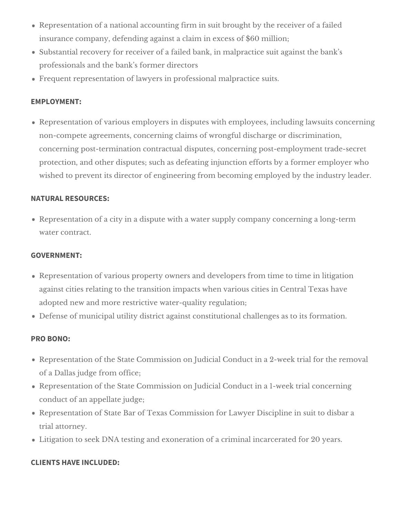- Representation of a national accounting firm in suit brought by the receiver of a failed insurance company, defending against a claim in excess of \$60 million;
- Substantial recovery for receiver of a failed bank, in malpractice suit against the bank's professionals and the bank's former directors
- Frequent representation of lawyers in professional malpractice suits.

# **EMPLOYMENT:**

Representation of various employers in disputes with employees, including lawsuits concerning non-compete agreements, concerning claims of wrongful discharge or discrimination, concerning post-termination contractual disputes, concerning post-employment trade-secret protection, and other disputes; such as defeating injunction efforts by a former employer who wished to prevent its director of engineering from becoming employed by the industry leader.

# **NATURAL RESOURCES:**

Representation of a city in a dispute with a water supply company concerning a long-term water contract.

#### **GOVERNMENT:**

- Representation of various property owners and developers from time to time in litigation against cities relating to the transition impacts when various cities in Central Texas have adopted new and more restrictive water-quality regulation;
- Defense of municipal utility district against constitutional challenges as to its formation.

# **PRO BONO:**

- Representation of the State Commission on Judicial Conduct in a 2-week trial for the removal of a Dallas judge from office;
- Representation of the State Commission on Judicial Conduct in a 1-week trial concerning conduct of an appellate judge;
- Representation of State Bar of Texas Commission for Lawyer Discipline in suit to disbar a trial attorney.
- Litigation to seek DNA testing and exoneration of a criminal incarcerated for 20 years.

# **CLIENTS HAVE INCLUDED:**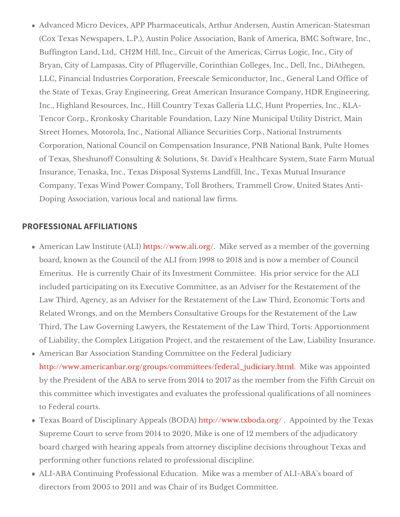Advanced Micro Devices, APP Pharmaceuticals, Arthur Andersen, Austin A (Cox Texas Newspapers, L.P.), Austin Police Association, Bank of Americ Buffington Land, Ltd,. CH2M Hill, Inc., Circuit of the Americas, Cirrus Lo Bryan, City of Lampasas, City of Pflugerville, Corinthian Colleges, Inc., I LLC, Financial Industries Corporation, Freescale Semiconductor, Inc., Ge the State of Texas, Gray Engineering, Great American Insurance Company Inc., Highland Resources, Inc., Hill Country Texas Galleria LLC, Hunt Pro Tencor Corp., Kronkosky Charitable Foundation, Lazy Nine Municipal Utili Street Homes, Motorola, Inc., National Alliance Securities Corp., Nationa Corporation, National Council on Compensation Insurance, PNB National of Texas, Sheshunoff Consulting & Solutions, St. David s Healthcare Syst Insurance, Tenaska, Inc., Texas Disposal Systems Landfill, Inc., Texas M Company, Texas Wind Power Company, Toll Brothers, Trammell Crow, Uni Doping Association, various locallawdfirmational

#### PROFESSIONAL AFFILIATIONS

American Law Instituthett(pAsL: I') www.ali.or Mgike served as a member of the governing board, known as the Council of the ALI from 1998 to 2018 and is now a m Emeritus. He is currently Chair of its Investment Committee. His prior s included participating on its Executive Committee, as an Adviser for the I Law Third, Agency, as an Adviser for the Restatement of the Law Third, E Related Wrongs, and on the Members Consultative Groups for the Restate Third, The Law Governing Lawyers, the Restatement of the Law Third, Tort of Liability, the Complex Litigation Project, and the restimathein the mosfut has dead American Bar Association Standing Committee on the Federal Judiciary [http://www.americanbar.org/groups/committees/feder](http://www.americanbar.org/groups/committees/federal_judiciary.html).al\_Mjiukdei owi a sy apptpmolinted by the President of the ABA to serve from 2014 to 2017 as the member from this committee which investigates and evaluates the professional qualific to Federal courts.

Texas Board of Disciplinary Appehatitsp://BNDWA.)txboda.orAgp/pointed by the Tex Supreme Court to serve from 2014 to 2020, Mike is one of 12 members of board charged with hearing appeals from attorney discipline decisions thi performing other functions merloafteesds itoonal discipline.

ALI-ABA Continuing Professional Education. Mike was a member of ALI-A directors from 2005 to 2011 and waBsudgetrCoofmintsittee.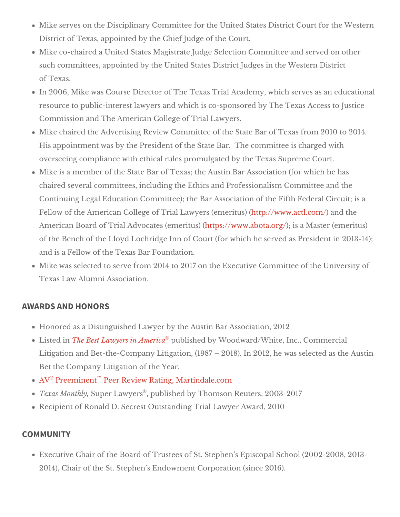Mike serves on the Disciplinary Committee for the United State/% eletermict District of Texas, appointed by the  $\mathbb C$  the  $\mathbb C$  of the  $\mathbb C$  and  $\mathbb C$  of

Mike co-chaired a United States Magistrate Judge Selection Committee ard such committees, appointed by the United States District Judges in the W of Texas.

In 2006, Mike was Course Director of The Texas Trial Academedy wahiohaser resource to public-interest lawyers and which is co-sponsored by The Tex Commission and The American  $\sigma$  oil at  $\phi$  deaw  $\gamma$  ers.

Mike chaired the Advertising Review Committee of the State Bar of Texas His appointment was by the President of the State Bar. The committee is overseeing compliance with ethical rules promulgSaupdeboxet GouTrexas Mike is a member of the State Bar of Texas; the Austin Bar Association (for chaired several committees, including the Ethics and Professionalism Cor Continuing Legal Education Committee); the Bar Association of the Fifth Fellow of the American College of Trial Lawhyted ps/(www.idcutsl)) c(armod the American Board of Trial Advocatesht(teprose/r/iwww.aw). abota: dsga Master (emeritus) of the Bench of the Lloyd Lochridge Inn of Court (for which he served as and is a Fellow of the Beal Force and ation.

Mike was selected to serve from 2014 to 2017 on the Executive Committed Texas LaAwumni Association.

#### AWARDS AND HONORS

Honored as a Distinguished Lawyer by the es on altimon Bar and 12 Listed The Best Lawyers in Aumberished by Woodward/White, Inc., Commercia Litigation and Bet-the-Company Litigation, (1987 2018). In 2012, he was Bet the Company Litigathion Year.

 $\mathsf{A}\, \mathsf{V}\,$  Preemin<sup>t</sup>  $\mathsf{B}\, \mathsf{R}\,$  eer Review Rating, Martindale.com

Texas Mont $\mathcal{B}$  up, er Lawye psublished by Tho Reneauctubers, 2003-2017 Recipient of Ronald D. Secrest Outstanding Trdal 2010 over

#### COMMUNITY

Executive Chair of the Board of Trustees of St. Stephen s Episcopal Scho  $2014$ ), Chair of the St. Stephen s Endowm (esnin CGo 2 $p$ 001rGa)tion